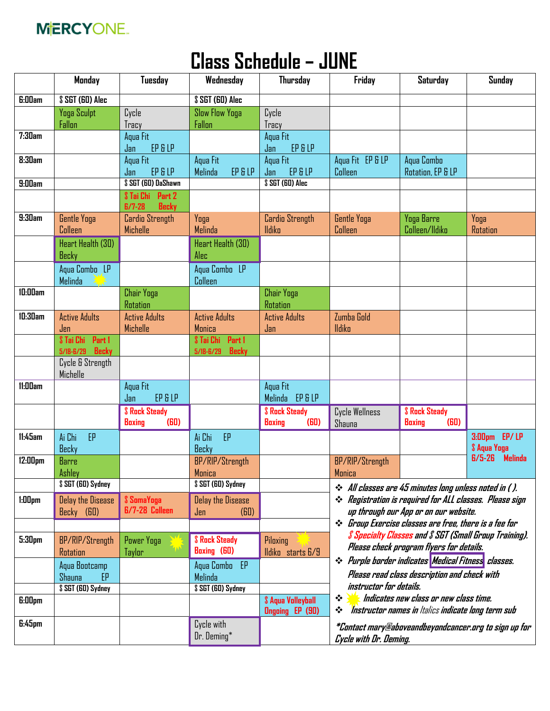

## **Class Schedule – JUNE**

|                    | Monday                             | <b>Tuesday</b>                       | Wednesday                                                        | <b>Thursday</b>                            | Friday                                                                                                                        | <b>Saturday</b>                                                | <b>Sunday</b>              |
|--------------------|------------------------------------|--------------------------------------|------------------------------------------------------------------|--------------------------------------------|-------------------------------------------------------------------------------------------------------------------------------|----------------------------------------------------------------|----------------------------|
| <b>G:00am</b>      | \$ SGT (GO) Alec                   |                                      | \$ SGT (GO) Alec                                                 |                                            |                                                                                                                               |                                                                |                            |
|                    | Yoga Sculpt                        | Cycle                                | <b>Slow Flow Yoga</b>                                            | Cycle                                      |                                                                                                                               |                                                                |                            |
|                    | Fallon                             | Tracy                                | Fallon                                                           | Tracy                                      |                                                                                                                               |                                                                |                            |
| 7:30am             |                                    | Aqua Fit                             |                                                                  | Aqua Fit                                   |                                                                                                                               |                                                                |                            |
|                    |                                    | EP & LP<br>Jan                       |                                                                  | EP & LP<br>Jan                             |                                                                                                                               |                                                                |                            |
| <b>8:30am</b>      |                                    | Aqua Fit                             | Aqua Fit                                                         | Aqua Fit                                   | Aqua Fit EP & LP                                                                                                              | Aqua Combo                                                     |                            |
|                    |                                    | EP & LP<br>Jan                       | EP & LP<br>Melinda                                               | EP & LP<br>Jan                             | Colleen                                                                                                                       | Rotation, EP & LP                                              |                            |
| 9:00am             |                                    | \$ SGT (60) DaShawn                  |                                                                  | \$ SGT (GO) Alec                           |                                                                                                                               |                                                                |                            |
|                    |                                    | Part 2<br>\$ Tai Chi<br><b>Becky</b> |                                                                  |                                            |                                                                                                                               |                                                                |                            |
| 9:30am             | <b>Gentle Yoga</b>                 | $B/7 - 28$<br><b>Cardio Strength</b> | Yoga                                                             | <b>Cardio Strength</b>                     | <b>Gentle Yoga</b>                                                                                                            | Yoga Barre                                                     | Yoga                       |
|                    | Colleen                            | Michelle                             | Melinda                                                          | lldiko                                     | Colleen                                                                                                                       | Colleen/Ildiko                                                 | Rotation                   |
|                    |                                    |                                      |                                                                  |                                            |                                                                                                                               |                                                                |                            |
|                    | Heart Health (30)                  |                                      | Heart Health (30)<br>Alec                                        |                                            |                                                                                                                               |                                                                |                            |
|                    | Becky                              |                                      |                                                                  |                                            |                                                                                                                               |                                                                |                            |
|                    | Agua Combo LP                      |                                      | Aqua Combo LP                                                    |                                            |                                                                                                                               |                                                                |                            |
|                    | Melinda                            |                                      | Colleen                                                          |                                            |                                                                                                                               |                                                                |                            |
| 10:00am            |                                    | <b>Chair Yoga</b><br><b>Rotation</b> |                                                                  | <b>Chair Yoga</b><br>Rotation              |                                                                                                                               |                                                                |                            |
| 10:30am            | <b>Active Adults</b>               | <b>Active Adults</b>                 | <b>Active Adults</b>                                             | <b>Active Adults</b>                       | Zumba Gold                                                                                                                    |                                                                |                            |
|                    | Jen                                | Michelle                             | Monica                                                           | Jan                                        | <b>Ildiko</b>                                                                                                                 |                                                                |                            |
|                    | Part 1<br>\$ Tai Chi               |                                      | Part 1<br><b>S</b> Tai Chi                                       |                                            |                                                                                                                               |                                                                |                            |
|                    | <b>Becky</b><br>$5/18 - 6/29$      |                                      | <b>Becky</b><br>$5/18 - 6/29$                                    |                                            |                                                                                                                               |                                                                |                            |
|                    | Cycle & Strength<br>Michelle       |                                      |                                                                  |                                            |                                                                                                                               |                                                                |                            |
| 11:00am            |                                    | Aqua Fit                             |                                                                  | Aqua Fit                                   |                                                                                                                               |                                                                |                            |
|                    |                                    | EP & LP<br>Jan                       |                                                                  | Melinda EP & LP                            |                                                                                                                               |                                                                |                            |
|                    |                                    | <b><i>S</i></b> Rock Steady          |                                                                  | <b><i><u><b>\$</b></u></i></b> Rock Steady | Cycle Wellness                                                                                                                | <b><i><u><b>\$</b>Rock Steady</u></i></b>                      |                            |
|                    |                                    | (B <sub>0</sub> )<br><b>Boxing</b>   |                                                                  | <b>Boxing</b><br>(B <sub>0</sub> )         | Shauna                                                                                                                        | (B <sub>0</sub> )<br><b>Boxing</b>                             |                            |
| 11:45am            | Ai Chi<br>EP                       |                                      | EP<br>Ai Chi                                                     |                                            |                                                                                                                               |                                                                | 3:00pm EP/LP               |
|                    | Becky                              |                                      | Becky                                                            |                                            |                                                                                                                               |                                                                | <b><i>\$</i></b> Aqua Yoga |
| 12:00pm            | <b>Barre</b>                       |                                      | BP/RIP/Strength                                                  |                                            | BP/RIP/Strength                                                                                                               |                                                                | $6/5-26$<br><b>Melinda</b> |
|                    | Ashley                             |                                      | Monica                                                           |                                            | Monica                                                                                                                        |                                                                |                            |
|                    | \$ SGT (GO) Sydney                 |                                      | \$ SGT (GO) Sydney                                               |                                            | ❖ All classes are 45 minutes long unless noted in ( ).                                                                        |                                                                |                            |
| $1:00$ pm          | <b>Delay the Disease</b>           | \$ SomaYoga                          | <b>Delay the Disease</b>                                         |                                            |                                                                                                                               | ❖ Registration is required for ALL classes. Please sign        |                            |
|                    | Becky (60)                         | <b>6/7-28 Colleen</b>                | (B <sub>0</sub> )<br>Jen                                         |                                            |                                                                                                                               | up through our App or on our website.                          |                            |
|                    |                                    |                                      |                                                                  |                                            |                                                                                                                               | <i>No Group Exercise classes are free, there is a fee for</i>  |                            |
|                    |                                    |                                      |                                                                  |                                            |                                                                                                                               | <i>\$ Specialty Classes and \$ SGT (Small Group Training).</i> |                            |
| 5:30 <sub>pm</sub> | BP/RIP/Strength                    | Power Yoga                           | <b><i><u><b>\$</b></u></i></b> Rock Steady<br><b>Boxing (60)</b> | Piloxing                                   |                                                                                                                               | Please check program flyers for details.                       |                            |
|                    | Rotation                           | Taylor                               |                                                                  | lldiko starts 6/9                          | ❖ Purple border indicates Medical Fitness classes.<br>Please read class description and check with<br>instructor for details. |                                                                |                            |
|                    | Aqua Bootcamp                      |                                      | Aqua Combo EP                                                    |                                            |                                                                                                                               |                                                                |                            |
|                    | Shauna<br>EP<br>\$ SGT (GO) Sydney |                                      | Melinda<br>\$ SGT (GD) Sydney                                    |                                            |                                                                                                                               |                                                                |                            |
|                    |                                    |                                      |                                                                  | <b>\$ Aqua Volleyball</b>                  | ❖                                                                                                                             | Indicates new class or new class time.                         |                            |
| <b>G:00pm</b>      |                                    |                                      |                                                                  | <b>Ongoing EP (90)</b>                     | ❖                                                                                                                             | Instructor names in Italics indicate long term sub             |                            |
| $E:45$ pm          |                                    |                                      | Cycle with                                                       |                                            |                                                                                                                               |                                                                |                            |
|                    |                                    |                                      | Dr. Deming*                                                      |                                            | *Contact mary@aboveandbeyondcancer.org to sign up for<br>Cycle with Dr. Deming.                                               |                                                                |                            |